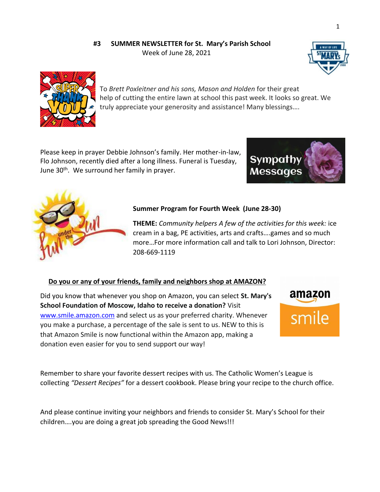## **#3 SUMMER NEWSLETTER for St. Mary's Parish School** Week of June 28, 2021





To *Brett Poxleitner and his sons, Mason and Holden* for their great help of cutting the entire lawn at school this past week. It looks so great. We truly appreciate your generosity and assistance! Many blessings….

Please keep in prayer Debbie Johnson's family. Her mother-in-law, Flo Johnson, recently died after a long illness. Funeral is Tuesday, June 30<sup>th</sup>. We surround her family in prayer.





## **Summer Program for Fourth Week (June 28-30)**

**THEME:** *Community helpers A few of the activities for this week:* ice cream in a bag, PE activities, arts and crafts….games and so much more…For more information call and talk to Lori Johnson, Director: 208-669-1119

## **Do you or any of your friends, family and neighbors shop at AMAZON?**

Did you know that whenever you shop on Amazon, you can select **St. Mary's School Foundation of Moscow, Idaho to receive a donation?** Visit [www.smile.amazon.com](http://www.smile.amazon.com/) and select us as your preferred charity. Whenever you make a purchase, a percentage of the sale is sent to us. NEW to this is that Amazon Smile is now functional within the Amazon app, making a donation even easier for you to send support our way!



Remember to share your favorite dessert recipes with us. The Catholic Women's League is collecting *"Dessert Recipes"* for a dessert cookbook. Please bring your recipe to the church office.

And please continue inviting your neighbors and friends to consider St. Mary's School for their children….you are doing a great job spreading the Good News!!!